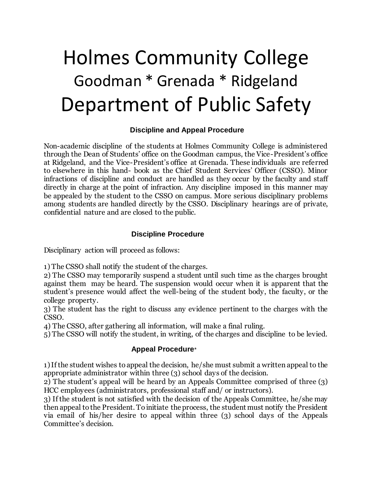## Holmes Community College Goodman \* Grenada \* Ridgeland Department of Public Safety

## **Discipline and Appeal Procedure**

Non-academic discipline of the students at Holmes Community College is administered through the Dean of Students' office on the Goodman campus, the Vice-President's office at Ridgeland, and the Vice-President's office at Grenada. These individuals are referred to elsewhere in this hand- book as the Chief Student Services' Officer (CSSO). Minor infractions of discipline and conduct are handled as they occur by the faculty and staff directly in charge at the point of infraction. Any discipline imposed in this manner may be appealed by the student to the CSSO on campus. More serious disciplinary problems among students are handled directly by the CSSO. Disciplinary hearings are of private, confidential nature and are closed to the public.

## **Discipline Procedure**

Disciplinary action will proceed as follows:

1) The CSSO shall notify the student of the charges.

2) The CSSO may temporarily suspend a student until such time as the charges brought against them may be heard. The suspension would occur when it is apparent that the student's presence would affect the well-being of the student body, the faculty, or the college property.

3) The student has the right to discuss any evidence pertinent to the charges with the CSSO.

4) The CSSO, after gathering all information, will make a final ruling.

5) The CSSO will notify the student, in writing, of the charges and discipline to be levied.

## **Appeal Procedure**\*

1) If the student wishes to appeal the decision, he/she must submit a written appeal to the appropriate administrator within three (3) school days of the decision.

2) The student's appeal will be heard by an Appeals Committee comprised of three (3) HCC employees (administrators, professional staff and/ or instructors).

3) If the student is not satisfied with the decision of the Appeals Committee, he/she may then appeal to the President. To initiate the process, the student must notify the President via email of his/her desire to appeal within three (3) school days of the Appeals Committee's decision.